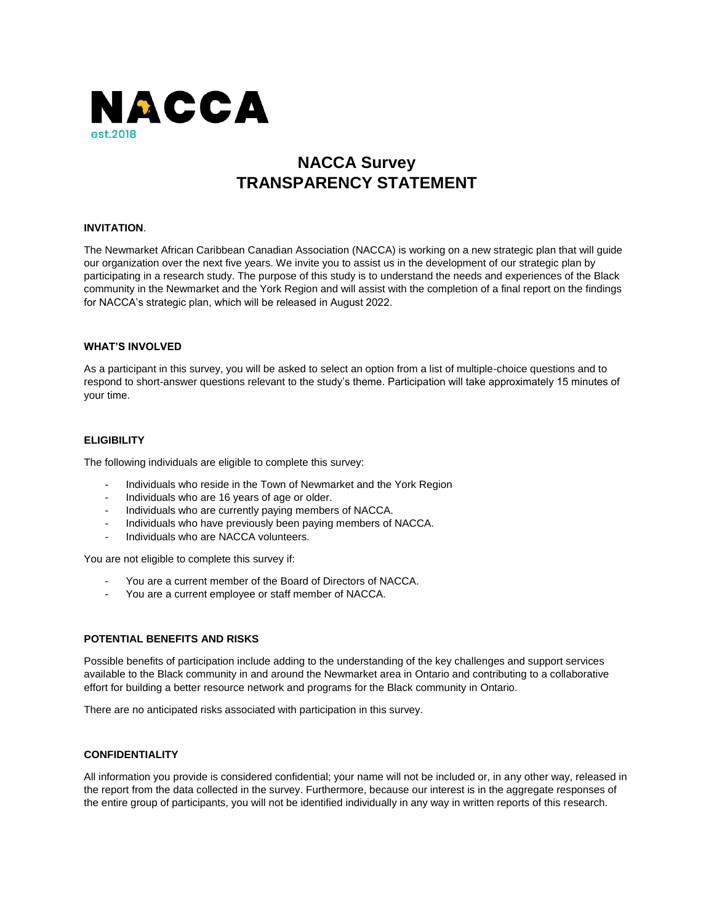

# **NACCA Survey TRANSPARENCY STATEMENT**

# **INVITATION**.

The Newmarket African Caribbean Canadian Association (NACCA) is working on a new strategic plan that will guide our organization over the next five years. We invite you to assist us in the development of our strategic plan by participating in a research study. The purpose of this study is to understand the needs and experiences of the Black community in the Newmarket and the York Region and will assist with the completion of a final report on the findings for NACCA's strategic plan, which will be released in August 2022.

# **WHAT'S INVOLVED**

As a participant in this survey, you will be asked to select an option from a list of multiple-choice questions and to respond to short-answer questions relevant to the study's theme. Participation will take approximately 15 minutes of your time.

# **ELIGIBILITY**

The following individuals are eligible to complete this survey:

- Individuals who reside in the Town of Newmarket and the York Region
- Individuals who are 16 years of age or older.
- Individuals who are currently paying members of NACCA.
- Individuals who have previously been paying members of NACCA.
- Individuals who are NACCA volunteers.

You are not eligible to complete this survey if:

- You are a current member of the Board of Directors of NACCA.
- You are a current employee or staff member of NACCA.

# **POTENTIAL BENEFITS AND RISKS**

Possible benefits of participation include adding to the understanding of the key challenges and support services available to the Black community in and around the Newmarket area in Ontario and contributing to a collaborative effort for building a better resource network and programs for the Black community in Ontario.

There are no anticipated risks associated with participation in this survey.

# **CONFIDENTIALITY**

All information you provide is considered confidential; your name will not be included or, in any other way, released in the report from the data collected in the survey. Furthermore, because our interest is in the aggregate responses of the entire group of participants, you will not be identified individually in any way in written reports of this research.